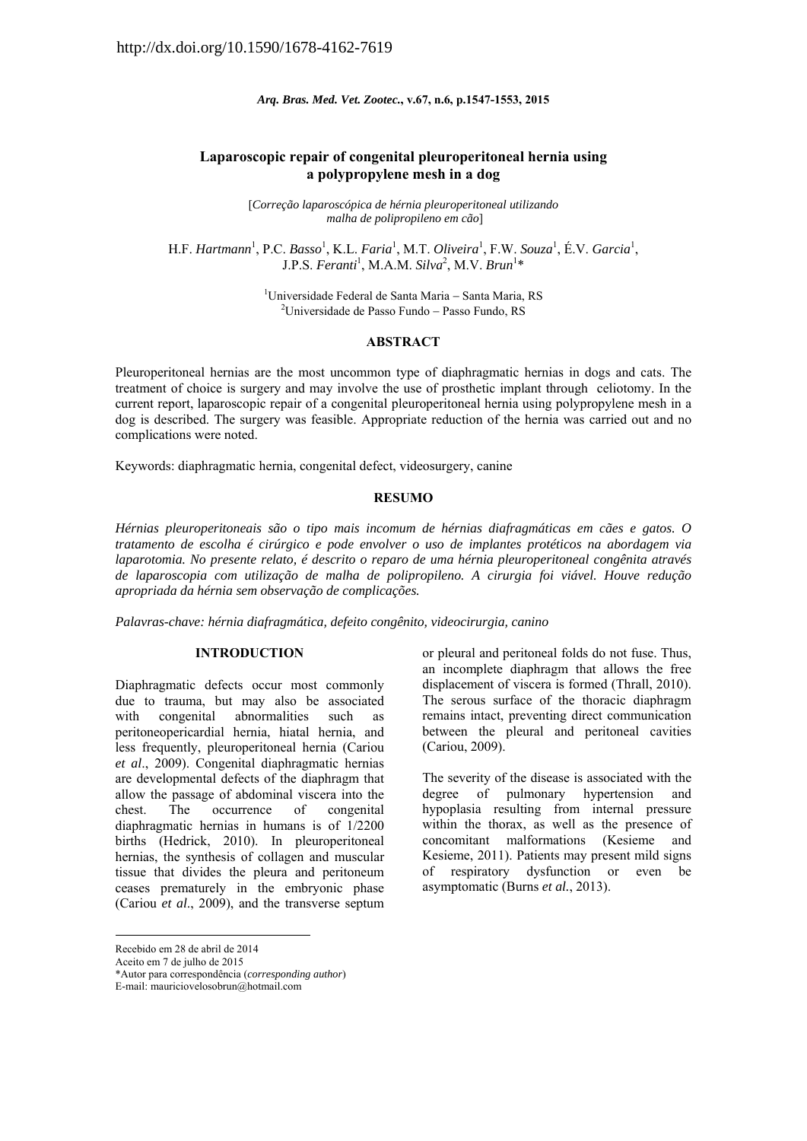*Arq. Bras. Med. Vet. Zootec.***, v.67, n.6, p.1547-1553, 2015** 

# **Laparoscopic repair of congenital pleuroperitoneal hernia using a polypropylene mesh in a dog**

[*Correção laparoscópica de hérnia pleuroperitoneal utilizando malha de polipropileno em cão*]

H.F. *Hartmann*<sup>1</sup>, P.C. *Basso*<sup>1</sup>, K.L. *Faria*<sup>1</sup>, M.T. *Oliveira*<sup>1</sup>, F.W. *Souza*<sup>1</sup>, É.V. *Garcia*<sup>1</sup>, J.P.S. *Feranti*<sup>1</sup>, M.A.M. *Silva*<sup>2</sup>, M.V. *Brun*<sup>1</sup>\*

> <sup>1</sup>Universidade Federal de Santa Maria – Santa Maria, RS<br><sup>2</sup>Universidade de Passe Fundo – Passe Fundo – PS <sup>2</sup>Universidade de Passo Fundo  $-$  Passo Fundo, RS

#### **ABSTRACT**

Pleuroperitoneal hernias are the most uncommon type of diaphragmatic hernias in dogs and cats. The treatment of choice is surgery and may involve the use of prosthetic implant through celiotomy. In the current report, laparoscopic repair of a congenital pleuroperitoneal hernia using polypropylene mesh in a dog is described. The surgery was feasible. Appropriate reduction of the hernia was carried out and no complications were noted.

Keywords: diaphragmatic hernia, congenital defect, videosurgery, canine

### **RESUMO**

*Hérnias pleuroperitoneais são o tipo mais incomum de hérnias diafragmáticas em cães e gatos. O tratamento de escolha é cirúrgico e pode envolver o uso de implantes protéticos na abordagem via laparotomia. No presente relato, é descrito o reparo de uma hérnia pleuroperitoneal congênita através de laparoscopia com utilização de malha de polipropileno. A cirurgia foi viável. Houve redução apropriada da hérnia sem observação de complicações.* 

*Palavras-chave: hérnia diafragmática, defeito congênito, videocirurgia, canino* 

# **INTRODUCTION**

Diaphragmatic defects occur most commonly due to trauma, but may also be associated with congenital abnormalities such as peritoneopericardial hernia, hiatal hernia, and less frequently, pleuroperitoneal hernia (Cariou *et al*., 2009). Congenital diaphragmatic hernias are developmental defects of the diaphragm that allow the passage of abdominal viscera into the chest. The occurrence of congenital diaphragmatic hernias in humans is of 1/2200 births (Hedrick, 2010). In pleuroperitoneal hernias, the synthesis of collagen and muscular tissue that divides the pleura and peritoneum ceases prematurely in the embryonic phase (Cariou *et al*., 2009), and the transverse septum

1

or pleural and peritoneal folds do not fuse. Thus, an incomplete diaphragm that allows the free displacement of viscera is formed (Thrall, 2010). The serous surface of the thoracic diaphragm remains intact, preventing direct communication between the pleural and peritoneal cavities (Cariou, 2009).

The severity of the disease is associated with the degree of pulmonary hypertension and hypoplasia resulting from internal pressure within the thorax, as well as the presence of concomitant malformations (Kesieme and Kesieme, 2011). Patients may present mild signs of respiratory dysfunction or even be asymptomatic (Burns *et al.*, 2013).

Recebido em 28 de abril de 2014

Aceito em 7 de julho de 2015

<sup>\*</sup>Autor para correspondência (*corresponding author*)

E-mail: mauriciovelosobrun@hotmail.com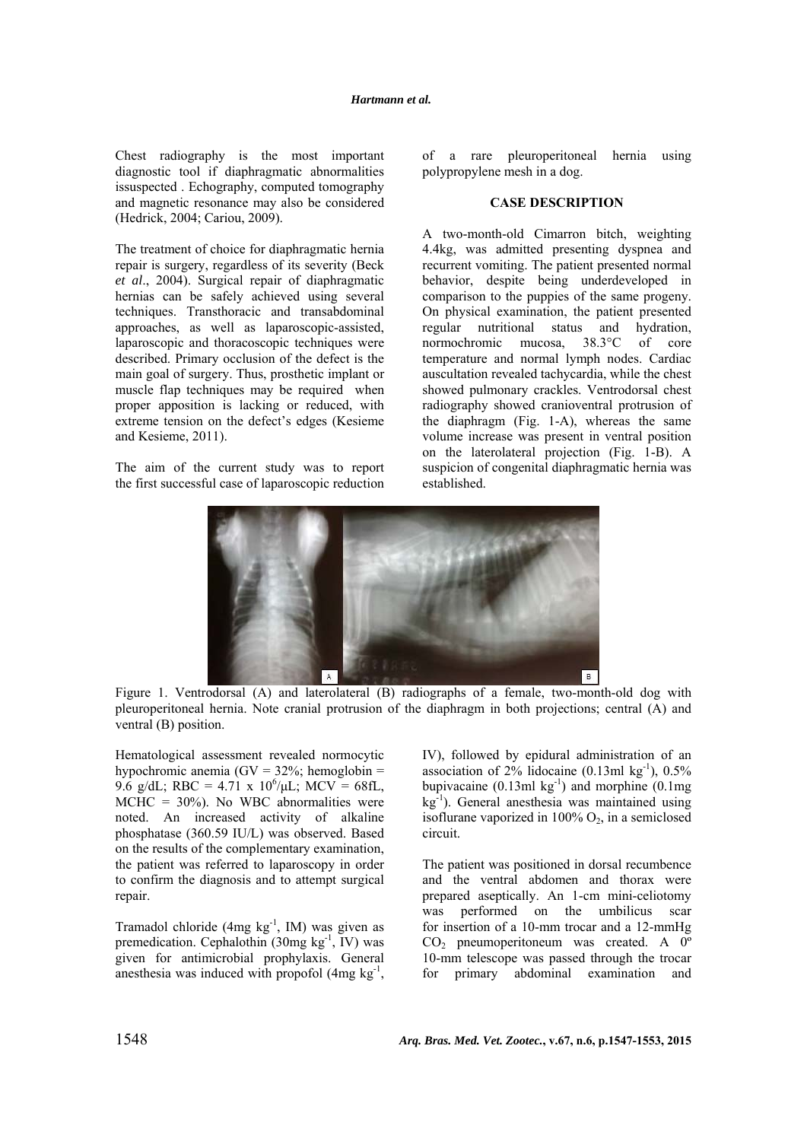Chest radiography is the most important diagnostic tool if diaphragmatic abnormalities issuspected . Echography, computed tomography and magnetic resonance may also be considered (Hedrick, 2004; Cariou, 2009).

The treatment of choice for diaphragmatic hernia repair is surgery, regardless of its severity (Beck *et al*., 2004). Surgical repair of diaphragmatic hernias can be safely achieved using several techniques. Transthoracic and transabdominal approaches, as well as laparoscopic-assisted, laparoscopic and thoracoscopic techniques were described. Primary occlusion of the defect is the main goal of surgery. Thus, prosthetic implant or muscle flap techniques may be required when proper apposition is lacking or reduced, with extreme tension on the defect's edges (Kesieme and Kesieme, 2011).

The aim of the current study was to report the first successful case of laparoscopic reduction of a rare pleuroperitoneal hernia using polypropylene mesh in a dog.

### **CASE DESCRIPTION**

A two-month-old Cimarron bitch, weighting 4.4kg, was admitted presenting dyspnea and recurrent vomiting. The patient presented normal behavior, despite being underdeveloped in comparison to the puppies of the same progeny. On physical examination, the patient presented regular nutritional status and hydration, normochromic mucosa, 38.3°C of core temperature and normal lymph nodes. Cardiac auscultation revealed tachycardia, while the chest showed pulmonary crackles. Ventrodorsal chest radiography showed cranioventral protrusion of the diaphragm (Fig. 1-A), whereas the same volume increase was present in ventral position on the laterolateral projection (Fig. 1-B). A suspicion of congenital diaphragmatic hernia was established.



Figure 1. Ventrodorsal (A) and laterolateral (B) radiographs of a female, two-month-old dog with pleuroperitoneal hernia. Note cranial protrusion of the diaphragm in both projections; central (A) and ventral (B) position.

Hematological assessment revealed normocytic hypochromic anemia (GV =  $32\%$ ; hemoglobin = 9.6 g/dL; RBC = 4.71 x  $10^6$ / $\mu$ L; MCV = 68fL,  $MCHC = 30\%$ ). No WBC abnormalities were noted. An increased activity of alkaline phosphatase (360.59 IU/L) was observed. Based on the results of the complementary examination, the patient was referred to laparoscopy in order to confirm the diagnosis and to attempt surgical repair.

Tramadol chloride (4mg  $kg^{-1}$ , IM) was given as premedication. Cephalothin  $(30mg \text{ kg}^{-1}, \text{IV})$  was given for antimicrobial prophylaxis. General anesthesia was induced with propofol  $(4mg \text{ kg}^{-1})$ ,

IV), followed by epidural administration of an association of 2% lidocaine  $(0.13 \text{ml kg}^{-1})$ ,  $0.5\%$ bupivacaine  $(0.13 \text{ml kg}^{-1})$  and morphine  $(0.1 \text{mg})$  $kg^{-1}$ ). General anesthesia was maintained using isoflurane vaporized in  $100\%$  O<sub>2</sub>, in a semiclosed circuit.

The patient was positioned in dorsal recumbence and the ventral abdomen and thorax were prepared aseptically. An 1-cm mini-celiotomy was performed on the umbilicus scar for insertion of a 10-mm trocar and a 12-mmHg CO<sub>2</sub> pneumoperitoneum was created. A 0<sup>o</sup> 10-mm telescope was passed through the trocar for primary abdominal examination and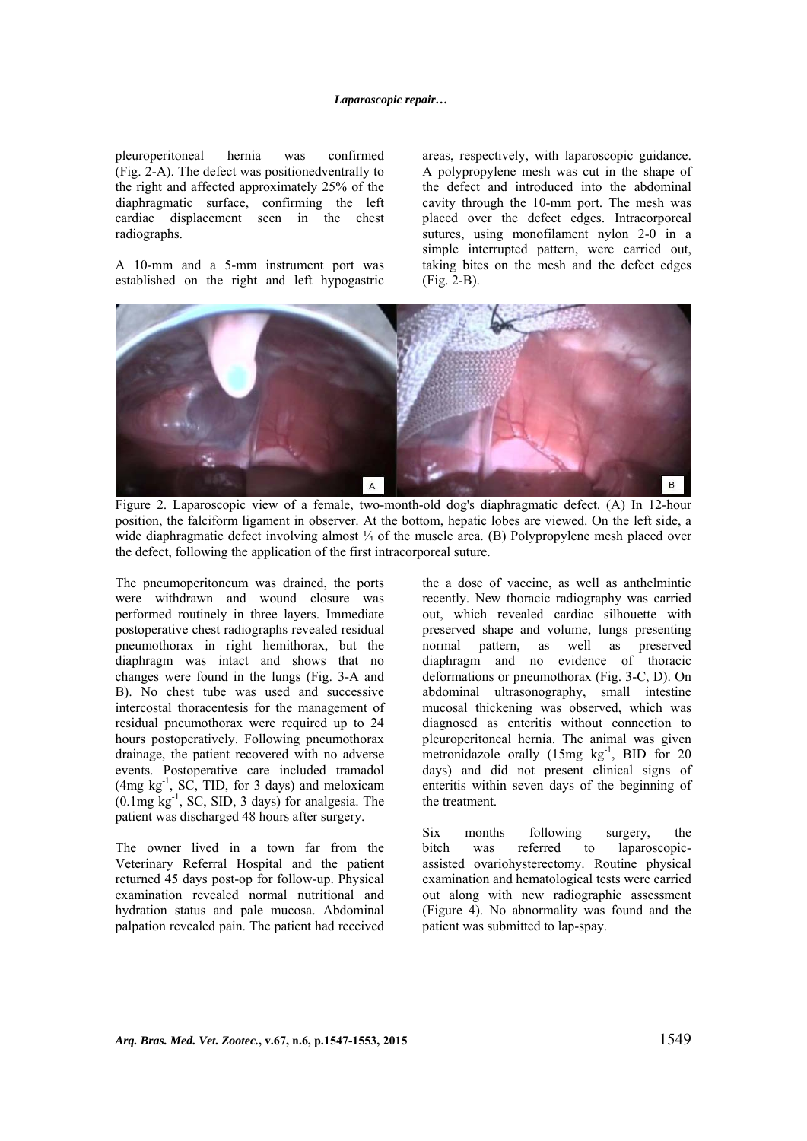pleuroperitoneal hernia was confirmed (Fig. 2-A). The defect was positionedventrally to the right and affected approximately 25% of the diaphragmatic surface, confirming the left cardiac displacement seen in the chest radiographs.

A 10-mm and a 5-mm instrument port was established on the right and left hypogastric areas, respectively, with laparoscopic guidance. A polypropylene mesh was cut in the shape of the defect and introduced into the abdominal cavity through the 10-mm port. The mesh was placed over the defect edges. Intracorporeal sutures, using monofilament nylon 2-0 in a simple interrupted pattern, were carried out, taking bites on the mesh and the defect edges (Fig. 2-B).



Figure 2. Laparoscopic view of a female, two-month-old dog's diaphragmatic defect. (A) In 12-hour position, the falciform ligament in observer. At the bottom, hepatic lobes are viewed. On the left side, a wide diaphragmatic defect involving almost  $\frac{1}{4}$  of the muscle area. (B) Polypropylene mesh placed over the defect, following the application of the first intracorporeal suture.

The pneumoperitoneum was drained, the ports were withdrawn and wound closure was performed routinely in three layers. Immediate postoperative chest radiographs revealed residual pneumothorax in right hemithorax, but the diaphragm was intact and shows that no changes were found in the lungs (Fig. 3-A and B). No chest tube was used and successive intercostal thoracentesis for the management of residual pneumothorax were required up to 24 hours postoperatively. Following pneumothorax drainage, the patient recovered with no adverse events. Postoperative care included tramadol  $(4mg \text{ kg}^{-1}, \text{ SC}, \text{TID}, \text{ for } 3 \text{ days})$  and meloxicam  $(0.1 \text{mg kg}^{-1}$ , SC, SID, 3 days) for analgesia. The patient was discharged 48 hours after surgery.

The owner lived in a town far from the Veterinary Referral Hospital and the patient returned 45 days post-op for follow-up. Physical examination revealed normal nutritional and hydration status and pale mucosa. Abdominal palpation revealed pain. The patient had received the a dose of vaccine, as well as anthelmintic recently. New thoracic radiography was carried out, which revealed cardiac silhouette with preserved shape and volume, lungs presenting normal pattern, as well as preserved diaphragm and no evidence of thoracic deformations or pneumothorax (Fig. 3-C, D). On abdominal ultrasonography, small intestine mucosal thickening was observed, which was diagnosed as enteritis without connection to pleuroperitoneal hernia. The animal was given metronidazole orally  $(15mg \text{ kg}^{-1}, \text{BID} \text{ for } 20)$ days) and did not present clinical signs of enteritis within seven days of the beginning of the treatment.

Six months following surgery, the bitch was referred to laparoscopicassisted ovariohysterectomy. Routine physical examination and hematological tests were carried out along with new radiographic assessment (Figure 4). No abnormality was found and the patient was submitted to lap-spay.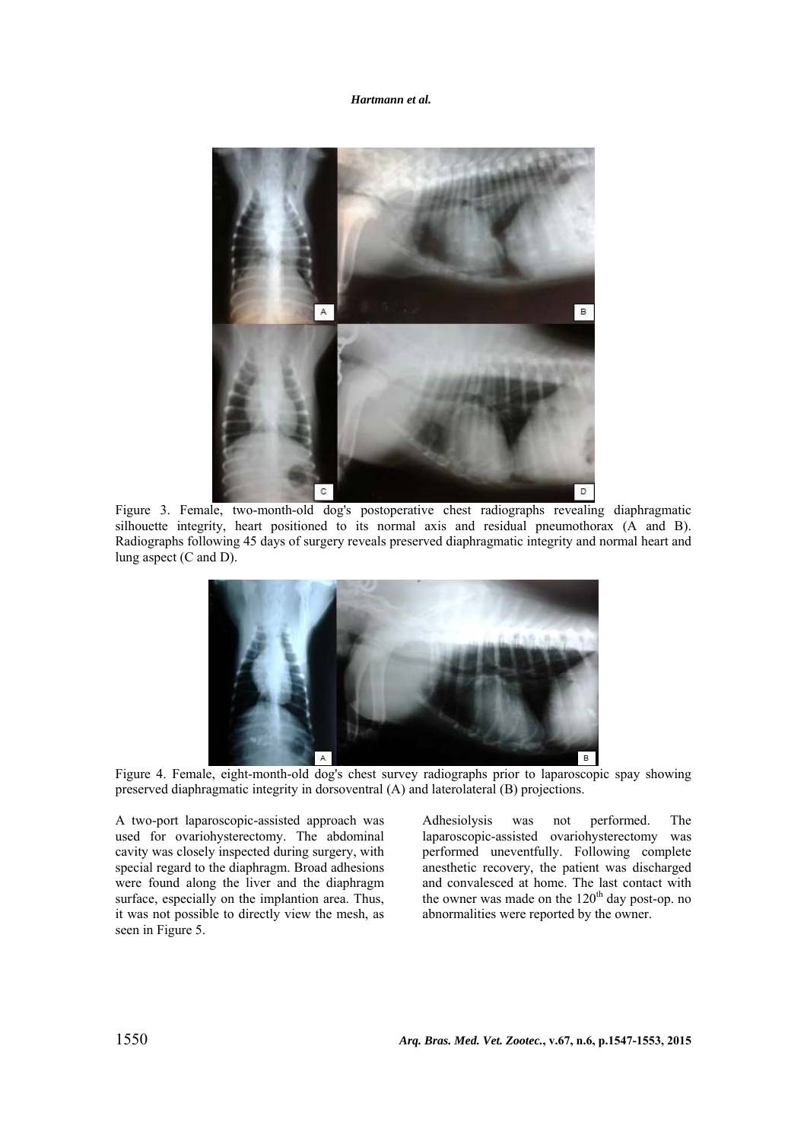*Hartmann et al.*



Figure 3. Female, two-month-old dog's postoperative chest radiographs revealing diaphragmatic silhouette integrity, heart positioned to its normal axis and residual pneumothorax (A and B). Radiographs following 45 days of surgery reveals preserved diaphragmatic integrity and normal heart and lung aspect (C and D).



Figure 4. Female, eight-month-old dog's chest survey radiographs prior to laparoscopic spay showing preserved diaphragmatic integrity in dorsoventral (A) and laterolateral (B) projections.

A two-port laparoscopic-assisted approach was used for ovariohysterectomy. The abdominal cavity was closely inspected during surgery, with special regard to the diaphragm. Broad adhesions were found along the liver and the diaphragm surface, especially on the implantion area. Thus, it was not possible to directly view the mesh, as seen in Figure 5.

Adhesiolysis was not performed. The laparoscopic-assisted ovariohysterectomy was performed uneventfully. Following complete anesthetic recovery, the patient was discharged and convalesced at home. The last contact with the owner was made on the  $120<sup>th</sup>$  day post-op. no abnormalities were reported by the owner.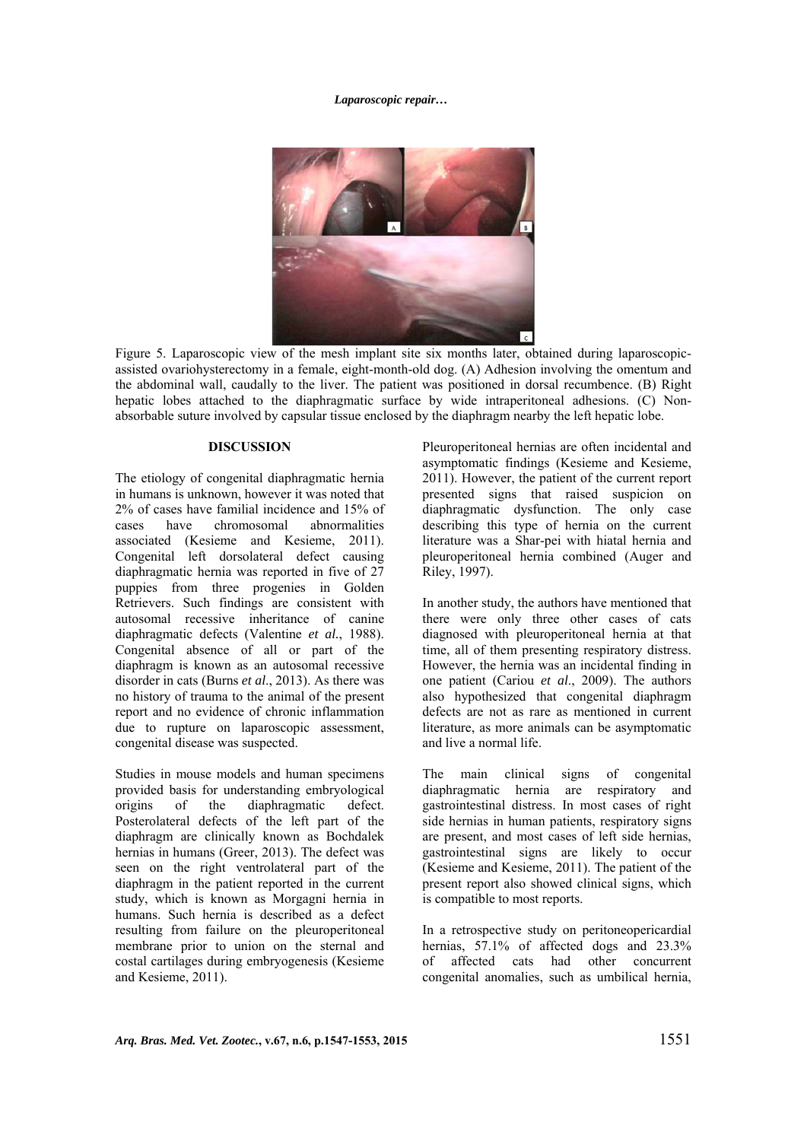### *Laparoscopic repair…*



Figure 5. Laparoscopic view of the mesh implant site six months later, obtained during laparoscopicassisted ovariohysterectomy in a female, eight-month-old dog. (A) Adhesion involving the omentum and the abdominal wall, caudally to the liver. The patient was positioned in dorsal recumbence. (B) Right hepatic lobes attached to the diaphragmatic surface by wide intraperitoneal adhesions. (C) Nonabsorbable suture involved by capsular tissue enclosed by the diaphragm nearby the left hepatic lobe.

#### **DISCUSSION**

The etiology of congenital diaphragmatic hernia in humans is unknown, however it was noted that 2% of cases have familial incidence and 15% of cases have chromosomal abnormalities associated (Kesieme and Kesieme, 2011). Congenital left dorsolateral defect causing diaphragmatic hernia was reported in five of 27 puppies from three progenies in Golden Retrievers. Such findings are consistent with autosomal recessive inheritance of canine diaphragmatic defects (Valentine *et al.*, 1988). Congenital absence of all or part of the diaphragm is known as an autosomal recessive disorder in cats (Burns *et al*., 2013). As there was no history of trauma to the animal of the present report and no evidence of chronic inflammation due to rupture on laparoscopic assessment, congenital disease was suspected.

Studies in mouse models and human specimens provided basis for understanding embryological origins of the diaphragmatic defect. Posterolateral defects of the left part of the diaphragm are clinically known as Bochdalek hernias in humans (Greer, 2013). The defect was seen on the right ventrolateral part of the diaphragm in the patient reported in the current study, which is known as Morgagni hernia in humans. Such hernia is described as a defect resulting from failure on the pleuroperitoneal membrane prior to union on the sternal and costal cartilages during embryogenesis (Kesieme and Kesieme, 2011).

Pleuroperitoneal hernias are often incidental and asymptomatic findings (Kesieme and Kesieme, 2011). However, the patient of the current report presented signs that raised suspicion on diaphragmatic dysfunction. The only case describing this type of hernia on the current literature was a Shar-pei with hiatal hernia and pleuroperitoneal hernia combined (Auger and Riley, 1997).

In another study, the authors have mentioned that there were only three other cases of cats diagnosed with pleuroperitoneal hernia at that time, all of them presenting respiratory distress. However, the hernia was an incidental finding in one patient (Cariou *et al*., 2009). The authors also hypothesized that congenital diaphragm defects are not as rare as mentioned in current literature, as more animals can be asymptomatic and live a normal life.

The main clinical signs of congenital diaphragmatic hernia are respiratory and gastrointestinal distress. In most cases of right side hernias in human patients, respiratory signs are present, and most cases of left side hernias, gastrointestinal signs are likely to occur (Kesieme and Kesieme, 2011). The patient of the present report also showed clinical signs, which is compatible to most reports.

In a retrospective study on peritoneopericardial hernias, 57.1% of affected dogs and 23.3% of affected cats had other concurrent congenital anomalies, such as umbilical hernia,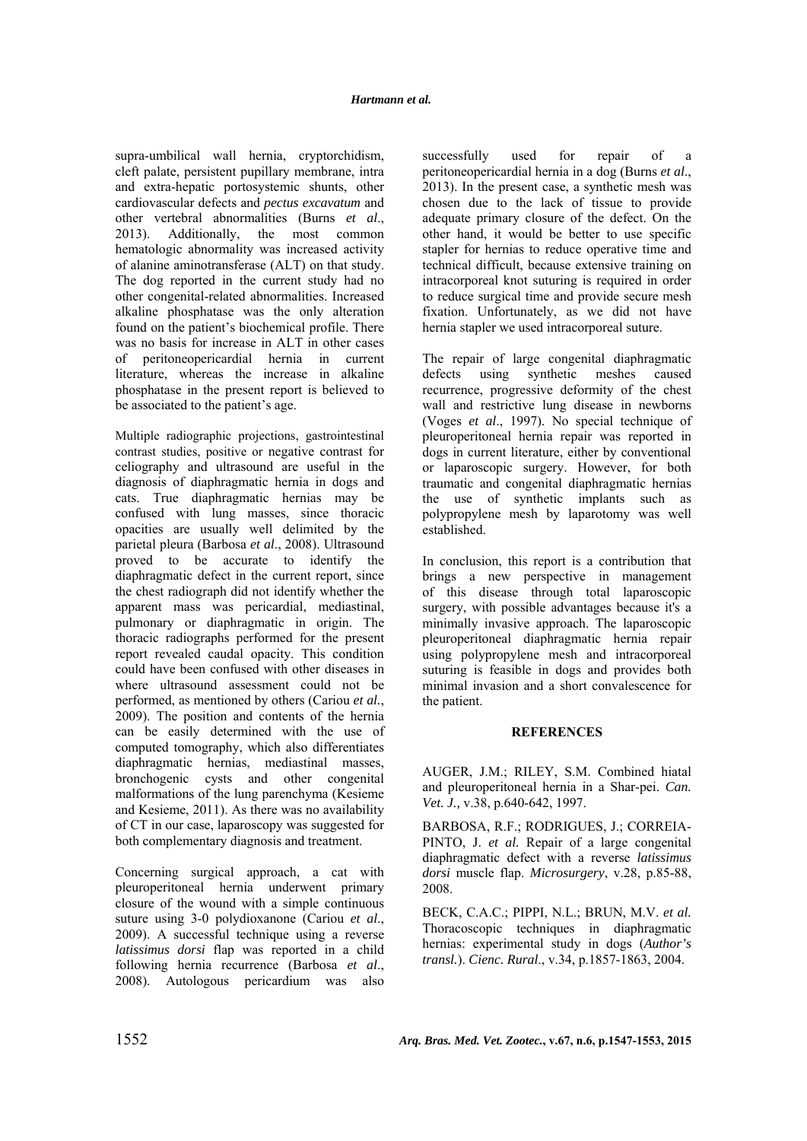supra-umbilical wall hernia, cryptorchidism, cleft palate, persistent pupillary membrane, intra and extra-hepatic portosystemic shunts, other cardiovascular defects and *pectus excavatum* and other vertebral abnormalities (Burns *et al*., 2013). Additionally, the most common hematologic abnormality was increased activity of alanine aminotransferase (ALT) on that study. The dog reported in the current study had no other congenital-related abnormalities. Increased alkaline phosphatase was the only alteration found on the patient's biochemical profile. There was no basis for increase in ALT in other cases of peritoneopericardial hernia in current literature, whereas the increase in alkaline phosphatase in the present report is believed to be associated to the patient's age.

Multiple radiographic projections, gastrointestinal contrast studies, positive or negative contrast for celiography and ultrasound are useful in the diagnosis of diaphragmatic hernia in dogs and cats. True diaphragmatic hernias may be confused with lung masses, since thoracic opacities are usually well delimited by the parietal pleura (Barbosa *et al*., 2008). Ultrasound proved to be accurate to identify the diaphragmatic defect in the current report, since the chest radiograph did not identify whether the apparent mass was pericardial, mediastinal, pulmonary or diaphragmatic in origin. The thoracic radiographs performed for the present report revealed caudal opacity. This condition could have been confused with other diseases in where ultrasound assessment could not be performed, as mentioned by others (Cariou *et al.*, 2009). The position and contents of the hernia can be easily determined with the use of computed tomography, which also differentiates diaphragmatic hernias, mediastinal masses, bronchogenic cysts and other congenital malformations of the lung parenchyma (Kesieme and Kesieme, 2011). As there was no availability of CT in our case, laparoscopy was suggested for both complementary diagnosis and treatment.

Concerning surgical approach, a cat with pleuroperitoneal hernia underwent primary closure of the wound with a simple continuous suture using 3-0 polydioxanone (Cariou *et al*., 2009). A successful technique using a reverse *latissimus dorsi* flap was reported in a child following hernia recurrence (Barbosa *et al*., 2008). Autologous pericardium was also

successfully used for repair of peritoneopericardial hernia in a dog (Burns *et al*., 2013). In the present case, a synthetic mesh was chosen due to the lack of tissue to provide adequate primary closure of the defect. On the other hand, it would be better to use specific stapler for hernias to reduce operative time and technical difficult, because extensive training on intracorporeal knot suturing is required in order to reduce surgical time and provide secure mesh fixation. Unfortunately, as we did not have hernia stapler we used intracorporeal suture.

The repair of large congenital diaphragmatic defects using synthetic meshes caused recurrence, progressive deformity of the chest wall and restrictive lung disease in newborns (Voges *et al*., 1997). No special technique of pleuroperitoneal hernia repair was reported in dogs in current literature, either by conventional or laparoscopic surgery. However, for both traumatic and congenital diaphragmatic hernias the use of synthetic implants such as polypropylene mesh by laparotomy was well established.

In conclusion, this report is a contribution that brings a new perspective in management of this disease through total laparoscopic surgery, with possible advantages because it's a minimally invasive approach. The laparoscopic pleuroperitoneal diaphragmatic hernia repair using polypropylene mesh and intracorporeal suturing is feasible in dogs and provides both minimal invasion and a short convalescence for the patient.

# **REFERENCES**

AUGER, J.M.; RILEY, S.M. Combined hiatal and pleuroperitoneal hernia in a Shar-pei. *Can. Vet. J.,* v.38, p.640-642, 1997.

BARBOSA, R.F.; RODRIGUES, J.; CORREIA-PINTO, J. *et al.* Repair of a large congenital diaphragmatic defect with a reverse *latissimus dorsi* muscle flap. *Microsurgery*, v.28, p.85-88, 2008.

BECK, C.A.C.; PIPPI, N.L.; BRUN, M.V. *et al.* Thoracoscopic techniques in diaphragmatic hernias: experimental study in dogs (*Author's transl.*). *Cienc. Rural*., v.34, p.1857-1863, 2004.